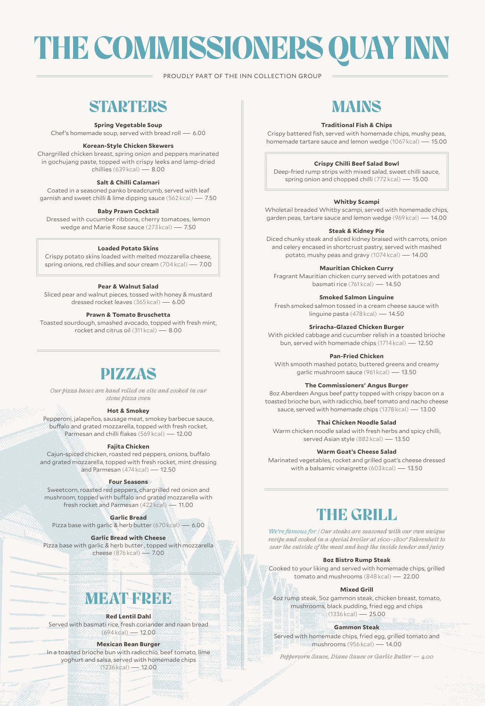# THE COMMISSIONERS QUAY INN

PROUDLY PART OF THE INN COLLECTION GROUP

# **STARTERS**

**Spring Vegetable Soup**

Chef's homemade soup, served with bread roll — 6.00

#### **Korean-Style Chicken Skewers**

Chargrilled chicken breast, spring onion and peppers marinated in gochujang paste, topped with crispy leeks and lamp-dried chillies (639 kcal) — 8.00

#### **Salt & Chilli Calamari**

Coated in a seasoned panko breadcrumb, served with leaf garnish and sweet chilli & lime dipping sauce (562 kcal) — 7.50

#### **Baby Prawn Cocktail**

Dressed with cucumber ribbons, cherry tomatoes, lemon wedge and Marie Rose sauce (273 kcal) — 7.50

#### **Loaded Potato Skins**

Crispy potato skins loaded with melted mozzarella cheese, spring onions, red chillies and sour cream (704 kcal) — 7.00

#### **Pear & Walnut Salad**

Sliced pear and walnut pieces, tossed with honey & mustard dressed rocket leaves (365 kcal) — 6.00

#### **Prawn & Tomato Bruschetta**

Toasted sourdough, smashed avocado, topped with fresh mint, rocket and citrus oil (311 kcal) — 8.00

# PIZZAS

*Our pizza bases are hand rolled on site and cooked in our stone pizza oven* 

#### **Hot & Smokey**

Pepperoni, jalapeños, sausage meat, smokey barbecue sauce, buffalo and grated mozzarella, topped with fresh rocket, Parmesan and chilli flakes (569 kcal) — 12.00

#### **Fajita Chicken**

Cajun-spiced chicken, roasted red peppers, onions, buffalo and grated mozzarella, topped with fresh rocket, mint dressing and Parmesan (474 kcal) — 12.50

#### **Four Seasons**

Sweetcorn, roasted red peppers, chargrilled red onion and mushroom, topped with buffalo and grated mozzarella with fresh rocket and Parmesan (422 kcal) — 11.00

**Garlic Bread**

Pizza base with garlic & herb butter (670 kcal) — 6.00

**Garlic Bread with Cheese**  Pizza base with garlic & herb butter , topped with mozzarella cheese (876 kcal) — 7.00

# **MEAT PREE**

#### **Red Lentil Dahl**

Served with basmati rice, fresh coriander and naan bread (694 kcal) — 12.00

#### **Mexican Bean Burger**

In a toasted brioche bun with radicchio, beef tomato, lime yoghurt and salsa, served with homemade chips (1236 kcal) — 12.00

# MAINS

#### **Traditional Fish & Chips**

Crispy battered fish, served with homemade chips, mushy peas, homemade tartare sauce and lemon wedge (1067 kcal) — 15.00

#### **Crispy Chilli Beef Salad Bowl**

Deep-fried rump strips with mixed salad, sweet chilli sauce, spring onion and chopped chilli (772 kcal) — 15.00

#### **Whitby Scampi**

Wholetail breaded Whitby scampi, served with homemade chips, garden peas, tartare sauce and lemon wedge (969 kcal) — 14.00

#### **Steak & Kidney Pie**

Diced chunky steak and sliced kidney braised with carrots, onion and celery encased in shortcrust pastry, served with mashed potato, mushy peas and gravy (1074 kcal) — 14.00

**Mauritian Chicken Curry**

Fragrant Mauritian chicken curry served with potatoes and basmati rice (761 kcal) — 14.50

**Smoked Salmon Linguine** 

Fresh smoked salmon tossed in a cream cheese sauce with linguine pasta (478 kcal) — 14.50

**Sriracha-Glazed Chicken Burger** 

With pickled cabbage and cucumber relish in a toasted brioche bun, served with homemade chips (1714 kcal) — 12.50

**Pan-Fried Chicken** 

With smooth mashed potato, buttered greens and creamy garlic mushroom sauce (961 kcal) — 13.50

#### **The Commissioners' Angus Burger**

8oz Aberdeen Angus beef patty topped with crispy bacon on a toasted brioche bun, with radicchio, beef tomato and nacho cheese sauce, served with homemade chips (1378 kcal) — 13.00

#### **Thai Chicken Noodle Salad**

Warm chicken noodle salad with fresh herbs and spicy chilli, served Asian style (882 kcal) — 13.50

#### **Warm Goat's Cheese Salad**

Marinated vegetables, rocket and grilled goat's cheese dressed with a balsamic vinaigrette (603 kcal) — 13.50

# THE GRILL

*We're famous for / Our steaks are seasoned with our own unique recipe and cooked in a special broiler at 1600–1800° Fahrenheit to sear the outside of the meat and keep the inside tender and juicy*

#### **8oz Bistro Rump Steak**

Cooked to your liking and served with homemade chips, grilled tomato and mushrooms (848 kcal) — 22.00

#### **Mixed Grill**

4oz rump steak, 5oz gammon steak, chicken breast, tomato, mushrooms, black pudding, fried egg and chips (1336 kcal) — 25.00

#### **Gammon Steak**

Served with homemade chips, fried egg, grilled tomato and mushrooms (956 kcal) — 14.00

*Peppercorn Sauce, Diane Sauce or Garlic Butter — 4.00*